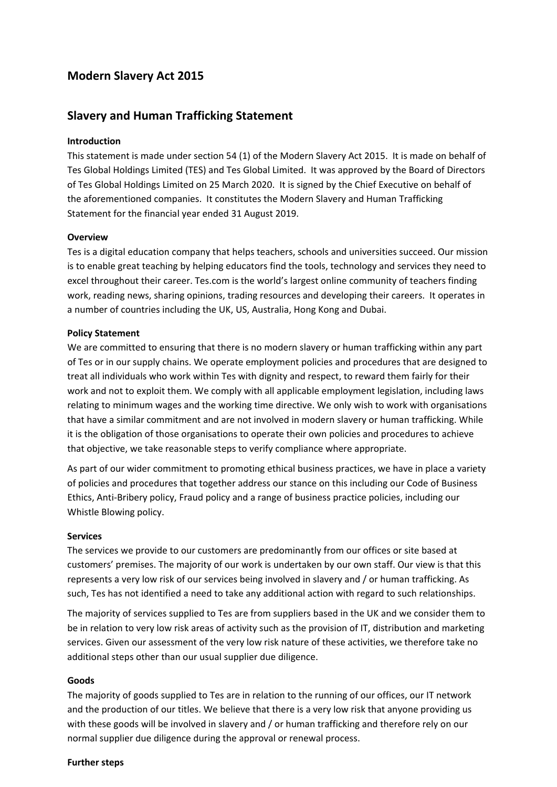# **Modern Slavery Act 2015**

## **Slavery and Human Trafficking Statement**

### **Introduction**

This statement is made under section 54 (1) of the Modern Slavery Act 2015. It is made on behalf of Tes Global Holdings Limited (TES) and Tes Global Limited. It was approved by the Board of Directors of Tes Global Holdings Limited on 25 March 2020. It is signed by the Chief Executive on behalf of the aforementioned companies. It constitutes the Modern Slavery and Human Trafficking Statement for the financial year ended 31 August 2019.

### **Overview**

Tes is a digital education company that helps teachers, schools and universities succeed. Our mission is to enable great teaching by helping educators find the tools, technology and services they need to excel throughout their career. Tes.com is the world's largest online community of teachers finding work, reading news, sharing opinions, trading resources and developing their careers. It operates in a number of countries including the UK, US, Australia, Hong Kong and Dubai.

### **Policy Statement**

We are committed to ensuring that there is no modern slavery or human trafficking within any part of Tes or in our supply chains. We operate employment policies and procedures that are designed to treat all individuals who work within Tes with dignity and respect, to reward them fairly for their work and not to exploit them. We comply with all applicable employment legislation, including laws relating to minimum wages and the working time directive. We only wish to work with organisations that have a similar commitment and are not involved in modern slavery or human trafficking. While it is the obligation of those organisations to operate their own policies and procedures to achieve that objective, we take reasonable steps to verify compliance where appropriate.

As part of our wider commitment to promoting ethical business practices, we have in place a variety of policies and procedures that together address our stance on this including our Code of Business Ethics, Anti‐Bribery policy, Fraud policy and a range of business practice policies, including our Whistle Blowing policy.

### **Services**

The services we provide to our customers are predominantly from our offices or site based at customers' premises. The majority of our work is undertaken by our own staff. Our view is that this represents a very low risk of our services being involved in slavery and / or human trafficking. As such, Tes has not identified a need to take any additional action with regard to such relationships.

The majority of services supplied to Tes are from suppliers based in the UK and we consider them to be in relation to very low risk areas of activity such as the provision of IT, distribution and marketing services. Given our assessment of the very low risk nature of these activities, we therefore take no additional steps other than our usual supplier due diligence.

### **Goods**

The majority of goods supplied to Tes are in relation to the running of our offices, our IT network and the production of our titles. We believe that there is a very low risk that anyone providing us with these goods will be involved in slavery and / or human trafficking and therefore rely on our normal supplier due diligence during the approval or renewal process.